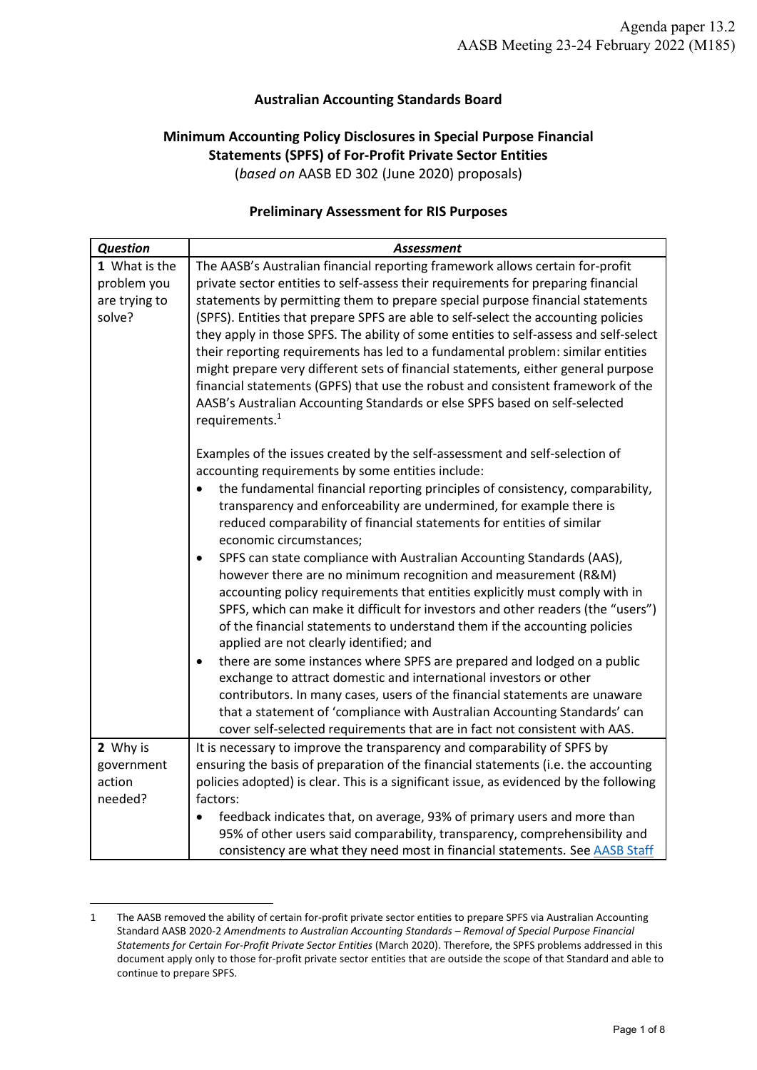## **Australian Accounting Standards Board**

## **Minimum Accounting Policy Disclosures in Special Purpose Financial Statements (SPFS) of For-Profit Private Sector Entities** (*based on* AASB ED 302 (June 2020) proposals)

## **Preliminary Assessment for RIS Purposes**

| <b>Question</b>                                         | <b>Assessment</b>                                                                                                                                                                                                                                                                                                                                                                                                                                                                                                                                                                                                                                                                                                                                                                                |
|---------------------------------------------------------|--------------------------------------------------------------------------------------------------------------------------------------------------------------------------------------------------------------------------------------------------------------------------------------------------------------------------------------------------------------------------------------------------------------------------------------------------------------------------------------------------------------------------------------------------------------------------------------------------------------------------------------------------------------------------------------------------------------------------------------------------------------------------------------------------|
| 1 What is the<br>problem you<br>are trying to<br>solve? | The AASB's Australian financial reporting framework allows certain for-profit<br>private sector entities to self-assess their requirements for preparing financial<br>statements by permitting them to prepare special purpose financial statements<br>(SPFS). Entities that prepare SPFS are able to self-select the accounting policies<br>they apply in those SPFS. The ability of some entities to self-assess and self-select<br>their reporting requirements has led to a fundamental problem: similar entities<br>might prepare very different sets of financial statements, either general purpose<br>financial statements (GPFS) that use the robust and consistent framework of the<br>AASB's Australian Accounting Standards or else SPFS based on self-selected<br>requirements. $1$ |
|                                                         | Examples of the issues created by the self-assessment and self-selection of<br>accounting requirements by some entities include:<br>the fundamental financial reporting principles of consistency, comparability,<br>$\bullet$<br>transparency and enforceability are undermined, for example there is<br>reduced comparability of financial statements for entities of similar<br>economic circumstances;                                                                                                                                                                                                                                                                                                                                                                                       |
|                                                         | SPFS can state compliance with Australian Accounting Standards (AAS),<br>٠<br>however there are no minimum recognition and measurement (R&M)<br>accounting policy requirements that entities explicitly must comply with in<br>SPFS, which can make it difficult for investors and other readers (the "users")<br>of the financial statements to understand them if the accounting policies<br>applied are not clearly identified; and                                                                                                                                                                                                                                                                                                                                                           |
|                                                         | there are some instances where SPFS are prepared and lodged on a public<br>exchange to attract domestic and international investors or other<br>contributors. In many cases, users of the financial statements are unaware<br>that a statement of 'compliance with Australian Accounting Standards' can<br>cover self-selected requirements that are in fact not consistent with AAS.                                                                                                                                                                                                                                                                                                                                                                                                            |
| 2 Why is                                                | It is necessary to improve the transparency and comparability of SPFS by                                                                                                                                                                                                                                                                                                                                                                                                                                                                                                                                                                                                                                                                                                                         |
| government<br>action                                    | ensuring the basis of preparation of the financial statements (i.e. the accounting                                                                                                                                                                                                                                                                                                                                                                                                                                                                                                                                                                                                                                                                                                               |
| needed?                                                 | policies adopted) is clear. This is a significant issue, as evidenced by the following<br>factors:                                                                                                                                                                                                                                                                                                                                                                                                                                                                                                                                                                                                                                                                                               |
|                                                         | feedback indicates that, on average, 93% of primary users and more than<br>$\bullet$                                                                                                                                                                                                                                                                                                                                                                                                                                                                                                                                                                                                                                                                                                             |
|                                                         | 95% of other users said comparability, transparency, comprehensibility and                                                                                                                                                                                                                                                                                                                                                                                                                                                                                                                                                                                                                                                                                                                       |
|                                                         | consistency are what they need most in financial statements. See AASB Staff                                                                                                                                                                                                                                                                                                                                                                                                                                                                                                                                                                                                                                                                                                                      |

<sup>1</sup> The AASB removed the ability of certain for-profit private sector entities to prepare SPFS via Australian Accounting Standard AASB 2020-2 *Amendments to Australian Accounting Standards – Removal of Special Purpose Financial Statements for Certain For-Profit Private Sector Entities* (March 2020). Therefore, the SPFS problems addressed in this document apply only to those for-profit private sector entities that are outside the scope of that Standard and able to continue to prepare SPFS.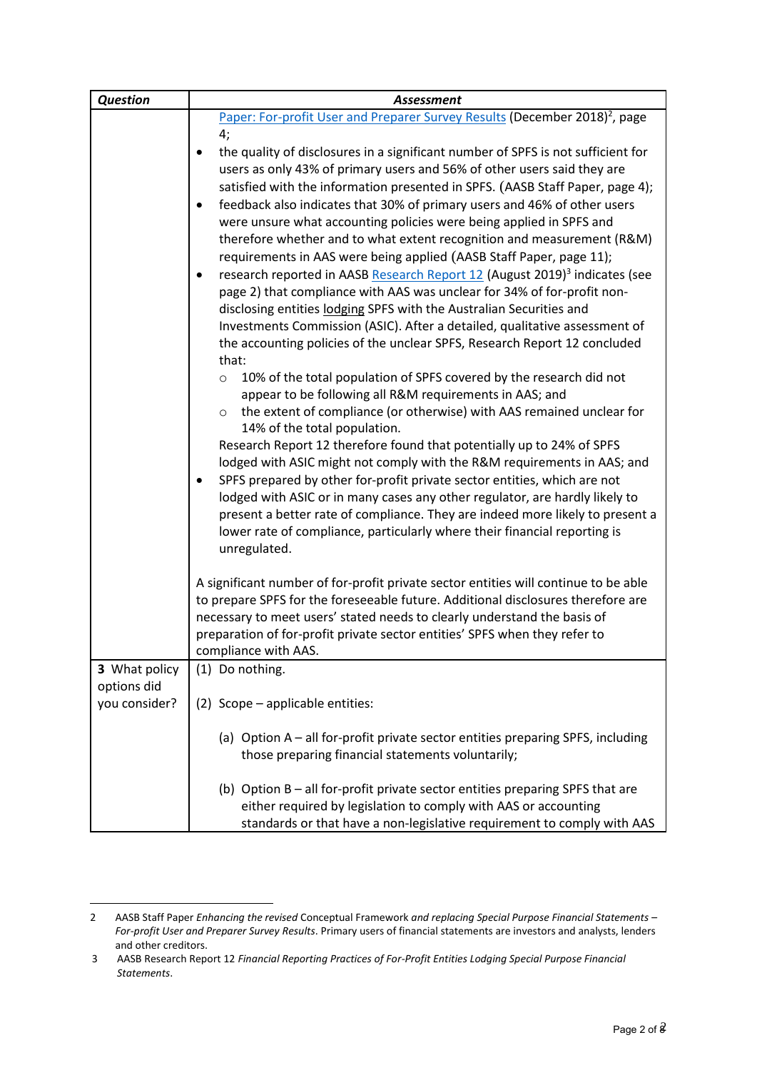| <b>Question</b>              | <b>Assessment</b>                                                                                                                                                                                                                                                                                                                                                                                                                                                                                                                                                                                                                                                                                                                                                                                                                                                                                                                                                                        |
|------------------------------|------------------------------------------------------------------------------------------------------------------------------------------------------------------------------------------------------------------------------------------------------------------------------------------------------------------------------------------------------------------------------------------------------------------------------------------------------------------------------------------------------------------------------------------------------------------------------------------------------------------------------------------------------------------------------------------------------------------------------------------------------------------------------------------------------------------------------------------------------------------------------------------------------------------------------------------------------------------------------------------|
|                              | Paper: For-profit User and Preparer Survey Results (December 2018) <sup>2</sup> , page                                                                                                                                                                                                                                                                                                                                                                                                                                                                                                                                                                                                                                                                                                                                                                                                                                                                                                   |
|                              | 4;<br>the quality of disclosures in a significant number of SPFS is not sufficient for<br>٠<br>users as only 43% of primary users and 56% of other users said they are<br>satisfied with the information presented in SPFS. (AASB Staff Paper, page 4);<br>feedback also indicates that 30% of primary users and 46% of other users<br>$\bullet$<br>were unsure what accounting policies were being applied in SPFS and<br>therefore whether and to what extent recognition and measurement (R&M)<br>requirements in AAS were being applied (AASB Staff Paper, page 11);<br>research reported in AASB Research Report 12 (August 2019) <sup>3</sup> indicates (see<br>page 2) that compliance with AAS was unclear for 34% of for-profit non-<br>disclosing entities lodging SPFS with the Australian Securities and<br>Investments Commission (ASIC). After a detailed, qualitative assessment of<br>the accounting policies of the unclear SPFS, Research Report 12 concluded<br>that: |
|                              | 10% of the total population of SPFS covered by the research did not<br>$\circ$<br>appear to be following all R&M requirements in AAS; and<br>the extent of compliance (or otherwise) with AAS remained unclear for<br>$\circ$<br>14% of the total population.<br>Research Report 12 therefore found that potentially up to 24% of SPFS<br>lodged with ASIC might not comply with the R&M requirements in AAS; and<br>SPFS prepared by other for-profit private sector entities, which are not<br>lodged with ASIC or in many cases any other regulator, are hardly likely to<br>present a better rate of compliance. They are indeed more likely to present a<br>lower rate of compliance, particularly where their financial reporting is<br>unregulated.                                                                                                                                                                                                                               |
|                              | A significant number of for-profit private sector entities will continue to be able<br>to prepare SPFS for the foreseeable future. Additional disclosures therefore are<br>necessary to meet users' stated needs to clearly understand the basis of<br>preparation of for-profit private sector entities' SPFS when they refer to<br>compliance with AAS.                                                                                                                                                                                                                                                                                                                                                                                                                                                                                                                                                                                                                                |
| 3 What policy                | (1) Do nothing.                                                                                                                                                                                                                                                                                                                                                                                                                                                                                                                                                                                                                                                                                                                                                                                                                                                                                                                                                                          |
| options did<br>you consider? | (2) Scope - applicable entities:                                                                                                                                                                                                                                                                                                                                                                                                                                                                                                                                                                                                                                                                                                                                                                                                                                                                                                                                                         |
|                              | (a) Option A – all for-profit private sector entities preparing SPFS, including<br>those preparing financial statements voluntarily;                                                                                                                                                                                                                                                                                                                                                                                                                                                                                                                                                                                                                                                                                                                                                                                                                                                     |
|                              | (b) Option B - all for-profit private sector entities preparing SPFS that are<br>either required by legislation to comply with AAS or accounting<br>standards or that have a non-legislative requirement to comply with AAS                                                                                                                                                                                                                                                                                                                                                                                                                                                                                                                                                                                                                                                                                                                                                              |

<sup>2</sup> AASB Staff Paper *Enhancing the revised* Conceptual Framework *and replacing Special Purpose Financial Statements – For-profit User and Preparer Survey Results*. Primary users of financial statements are investors and analysts, lenders and other creditors.

<sup>3</sup> AASB Research Report 12 *Financial Reporting Practices of For-Profit Entities Lodging Special Purpose Financial Statements*.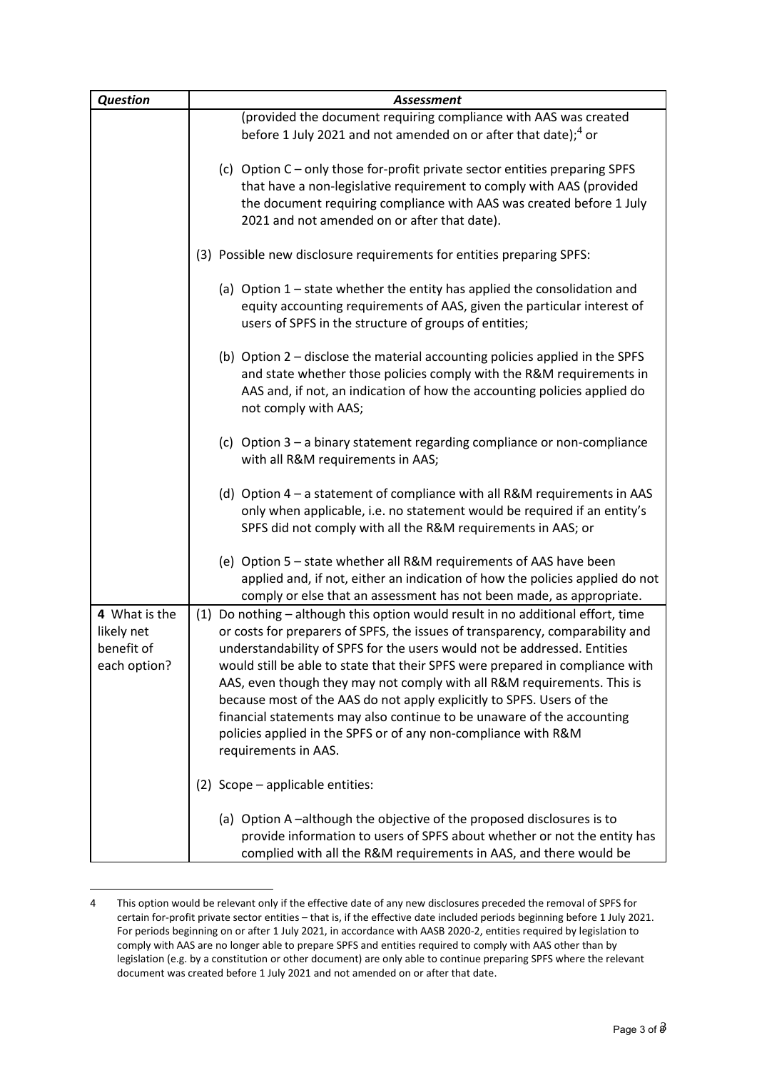| <b>Question</b>                                           | <b>Assessment</b>                                                                                                                                                                                                                                                                                                                                                                                                                                                                                                                                                                                                                                      |
|-----------------------------------------------------------|--------------------------------------------------------------------------------------------------------------------------------------------------------------------------------------------------------------------------------------------------------------------------------------------------------------------------------------------------------------------------------------------------------------------------------------------------------------------------------------------------------------------------------------------------------------------------------------------------------------------------------------------------------|
|                                                           | (provided the document requiring compliance with AAS was created                                                                                                                                                                                                                                                                                                                                                                                                                                                                                                                                                                                       |
|                                                           | before 1 July 2021 and not amended on or after that date); <sup>4</sup> or                                                                                                                                                                                                                                                                                                                                                                                                                                                                                                                                                                             |
|                                                           | (c) Option C - only those for-profit private sector entities preparing SPFS<br>that have a non-legislative requirement to comply with AAS (provided<br>the document requiring compliance with AAS was created before 1 July<br>2021 and not amended on or after that date).                                                                                                                                                                                                                                                                                                                                                                            |
|                                                           | (3) Possible new disclosure requirements for entities preparing SPFS:                                                                                                                                                                                                                                                                                                                                                                                                                                                                                                                                                                                  |
|                                                           | (a) Option $1$ – state whether the entity has applied the consolidation and<br>equity accounting requirements of AAS, given the particular interest of<br>users of SPFS in the structure of groups of entities;                                                                                                                                                                                                                                                                                                                                                                                                                                        |
|                                                           | (b) Option 2 - disclose the material accounting policies applied in the SPFS<br>and state whether those policies comply with the R&M requirements in<br>AAS and, if not, an indication of how the accounting policies applied do<br>not comply with AAS;                                                                                                                                                                                                                                                                                                                                                                                               |
|                                                           | (c) Option $3 - a$ binary statement regarding compliance or non-compliance<br>with all R&M requirements in AAS;                                                                                                                                                                                                                                                                                                                                                                                                                                                                                                                                        |
|                                                           | (d) Option $4 - a$ statement of compliance with all R&M requirements in AAS<br>only when applicable, i.e. no statement would be required if an entity's<br>SPFS did not comply with all the R&M requirements in AAS; or                                                                                                                                                                                                                                                                                                                                                                                                                                |
|                                                           | (e) Option 5 - state whether all R&M requirements of AAS have been<br>applied and, if not, either an indication of how the policies applied do not<br>comply or else that an assessment has not been made, as appropriate.                                                                                                                                                                                                                                                                                                                                                                                                                             |
| 4 What is the<br>likely net<br>benefit of<br>each option? | (1) Do nothing - although this option would result in no additional effort, time<br>or costs for preparers of SPFS, the issues of transparency, comparability and<br>understandability of SPFS for the users would not be addressed. Entities<br>would still be able to state that their SPFS were prepared in compliance with<br>AAS, even though they may not comply with all R&M requirements. This is<br>because most of the AAS do not apply explicitly to SPFS. Users of the<br>financial statements may also continue to be unaware of the accounting<br>policies applied in the SPFS or of any non-compliance with R&M<br>requirements in AAS. |
|                                                           | (2) Scope - applicable entities:                                                                                                                                                                                                                                                                                                                                                                                                                                                                                                                                                                                                                       |
|                                                           | (a) Option A-although the objective of the proposed disclosures is to<br>provide information to users of SPFS about whether or not the entity has<br>complied with all the R&M requirements in AAS, and there would be                                                                                                                                                                                                                                                                                                                                                                                                                                 |

<sup>4</sup> This option would be relevant only if the effective date of any new disclosures preceded the removal of SPFS for certain for-profit private sector entities – that is, if the effective date included periods beginning before 1 July 2021. For periods beginning on or after 1 July 2021, in accordance with AASB 2020-2, entities required by legislation to comply with AAS are no longer able to prepare SPFS and entities required to comply with AAS other than by legislation (e.g. by a constitution or other document) are only able to continue preparing SPFS where the relevant document was created before 1 July 2021 and not amended on or after that date.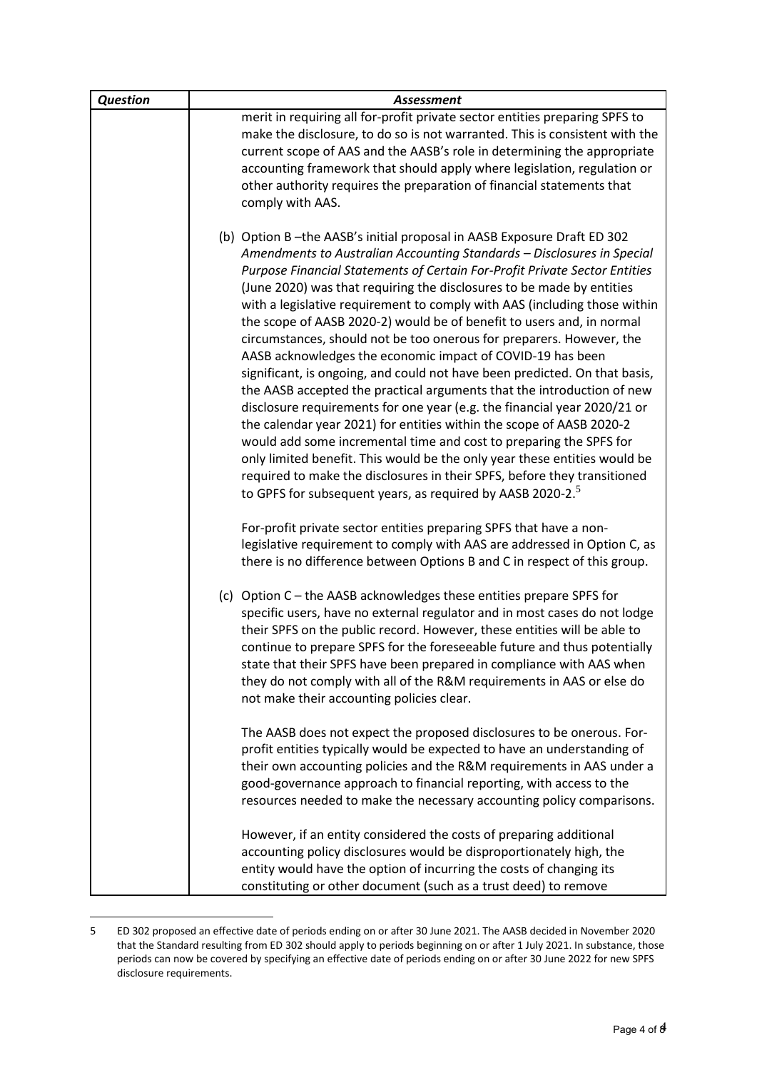| <b>Question</b> | <b>Assessment</b>                                                                                                                                                                                                                                                                                                                                                                                                                                                                                       |
|-----------------|---------------------------------------------------------------------------------------------------------------------------------------------------------------------------------------------------------------------------------------------------------------------------------------------------------------------------------------------------------------------------------------------------------------------------------------------------------------------------------------------------------|
|                 | merit in requiring all for-profit private sector entities preparing SPFS to                                                                                                                                                                                                                                                                                                                                                                                                                             |
|                 | make the disclosure, to do so is not warranted. This is consistent with the                                                                                                                                                                                                                                                                                                                                                                                                                             |
|                 | current scope of AAS and the AASB's role in determining the appropriate                                                                                                                                                                                                                                                                                                                                                                                                                                 |
|                 | accounting framework that should apply where legislation, regulation or                                                                                                                                                                                                                                                                                                                                                                                                                                 |
|                 | other authority requires the preparation of financial statements that                                                                                                                                                                                                                                                                                                                                                                                                                                   |
|                 | comply with AAS.                                                                                                                                                                                                                                                                                                                                                                                                                                                                                        |
|                 | (b) Option B-the AASB's initial proposal in AASB Exposure Draft ED 302<br>Amendments to Australian Accounting Standards - Disclosures in Special<br>Purpose Financial Statements of Certain For-Profit Private Sector Entities<br>(June 2020) was that requiring the disclosures to be made by entities                                                                                                                                                                                                 |
|                 | with a legislative requirement to comply with AAS (including those within<br>the scope of AASB 2020-2) would be of benefit to users and, in normal<br>circumstances, should not be too onerous for preparers. However, the<br>AASB acknowledges the economic impact of COVID-19 has been<br>significant, is ongoing, and could not have been predicted. On that basis,<br>the AASB accepted the practical arguments that the introduction of new                                                        |
|                 | disclosure requirements for one year (e.g. the financial year 2020/21 or<br>the calendar year 2021) for entities within the scope of AASB 2020-2<br>would add some incremental time and cost to preparing the SPFS for<br>only limited benefit. This would be the only year these entities would be<br>required to make the disclosures in their SPFS, before they transitioned<br>to GPFS for subsequent years, as required by AASB 2020-2. <sup>5</sup>                                               |
|                 | For-profit private sector entities preparing SPFS that have a non-<br>legislative requirement to comply with AAS are addressed in Option C, as<br>there is no difference between Options B and C in respect of this group.                                                                                                                                                                                                                                                                              |
|                 | (c) Option C - the AASB acknowledges these entities prepare SPFS for<br>specific users, have no external regulator and in most cases do not lodge<br>their SPFS on the public record. However, these entities will be able to<br>continue to prepare SPFS for the foreseeable future and thus potentially<br>state that their SPFS have been prepared in compliance with AAS when<br>they do not comply with all of the R&M requirements in AAS or else do<br>not make their accounting policies clear. |
|                 | The AASB does not expect the proposed disclosures to be onerous. For-<br>profit entities typically would be expected to have an understanding of<br>their own accounting policies and the R&M requirements in AAS under a<br>good-governance approach to financial reporting, with access to the<br>resources needed to make the necessary accounting policy comparisons.                                                                                                                               |
|                 | However, if an entity considered the costs of preparing additional<br>accounting policy disclosures would be disproportionately high, the<br>entity would have the option of incurring the costs of changing its<br>constituting or other document (such as a trust deed) to remove                                                                                                                                                                                                                     |

<sup>5</sup> ED 302 proposed an effective date of periods ending on or after 30 June 2021. The AASB decided in November 2020 that the Standard resulting from ED 302 should apply to periods beginning on or after 1 July 2021. In substance, those periods can now be covered by specifying an effective date of periods ending on or after 30 June 2022 for new SPFS disclosure requirements.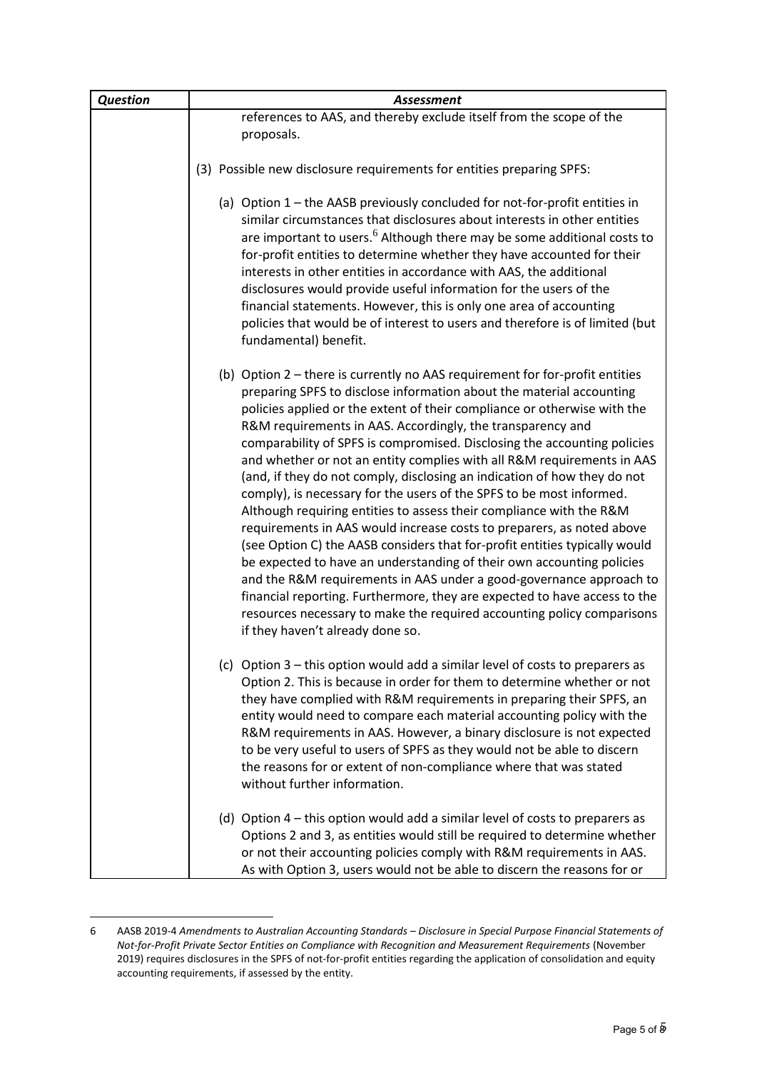| <b>Question</b> | Assessment                                                                                                                                                                                                                                                                                                                                                                                                                                                                                                                                                                                                                                                                                                                                                                                                                                                                                                                                                                                                                                                                                                                                                                        |
|-----------------|-----------------------------------------------------------------------------------------------------------------------------------------------------------------------------------------------------------------------------------------------------------------------------------------------------------------------------------------------------------------------------------------------------------------------------------------------------------------------------------------------------------------------------------------------------------------------------------------------------------------------------------------------------------------------------------------------------------------------------------------------------------------------------------------------------------------------------------------------------------------------------------------------------------------------------------------------------------------------------------------------------------------------------------------------------------------------------------------------------------------------------------------------------------------------------------|
|                 | references to AAS, and thereby exclude itself from the scope of the                                                                                                                                                                                                                                                                                                                                                                                                                                                                                                                                                                                                                                                                                                                                                                                                                                                                                                                                                                                                                                                                                                               |
|                 | proposals.                                                                                                                                                                                                                                                                                                                                                                                                                                                                                                                                                                                                                                                                                                                                                                                                                                                                                                                                                                                                                                                                                                                                                                        |
|                 | (3) Possible new disclosure requirements for entities preparing SPFS:                                                                                                                                                                                                                                                                                                                                                                                                                                                                                                                                                                                                                                                                                                                                                                                                                                                                                                                                                                                                                                                                                                             |
|                 |                                                                                                                                                                                                                                                                                                                                                                                                                                                                                                                                                                                                                                                                                                                                                                                                                                                                                                                                                                                                                                                                                                                                                                                   |
|                 | (a) Option 1 – the AASB previously concluded for not-for-profit entities in<br>similar circumstances that disclosures about interests in other entities<br>are important to users. <sup>6</sup> Although there may be some additional costs to<br>for-profit entities to determine whether they have accounted for their<br>interests in other entities in accordance with AAS, the additional<br>disclosures would provide useful information for the users of the<br>financial statements. However, this is only one area of accounting<br>policies that would be of interest to users and therefore is of limited (but<br>fundamental) benefit.                                                                                                                                                                                                                                                                                                                                                                                                                                                                                                                                |
|                 | (b) Option 2 – there is currently no AAS requirement for for-profit entities<br>preparing SPFS to disclose information about the material accounting<br>policies applied or the extent of their compliance or otherwise with the<br>R&M requirements in AAS. Accordingly, the transparency and<br>comparability of SPFS is compromised. Disclosing the accounting policies<br>and whether or not an entity complies with all R&M requirements in AAS<br>(and, if they do not comply, disclosing an indication of how they do not<br>comply), is necessary for the users of the SPFS to be most informed.<br>Although requiring entities to assess their compliance with the R&M<br>requirements in AAS would increase costs to preparers, as noted above<br>(see Option C) the AASB considers that for-profit entities typically would<br>be expected to have an understanding of their own accounting policies<br>and the R&M requirements in AAS under a good-governance approach to<br>financial reporting. Furthermore, they are expected to have access to the<br>resources necessary to make the required accounting policy comparisons<br>if they haven't already done so. |
|                 | (c) Option 3 – this option would add a similar level of costs to preparers as<br>Option 2. This is because in order for them to determine whether or not<br>they have complied with R&M requirements in preparing their SPFS, an<br>entity would need to compare each material accounting policy with the<br>R&M requirements in AAS. However, a binary disclosure is not expected<br>to be very useful to users of SPFS as they would not be able to discern<br>the reasons for or extent of non-compliance where that was stated<br>without further information.                                                                                                                                                                                                                                                                                                                                                                                                                                                                                                                                                                                                                |
|                 | (d) Option 4 – this option would add a similar level of costs to preparers as<br>Options 2 and 3, as entities would still be required to determine whether<br>or not their accounting policies comply with R&M requirements in AAS.<br>As with Option 3, users would not be able to discern the reasons for or                                                                                                                                                                                                                                                                                                                                                                                                                                                                                                                                                                                                                                                                                                                                                                                                                                                                    |

<sup>6</sup> AASB 2019-4 *Amendments to Australian Accounting Standards – Disclosure in Special Purpose Financial Statements of Not-for-Profit Private Sector Entities on Compliance with Recognition and Measurement Requirements* (November 2019) requires disclosures in the SPFS of not-for-profit entities regarding the application of consolidation and equity accounting requirements, if assessed by the entity.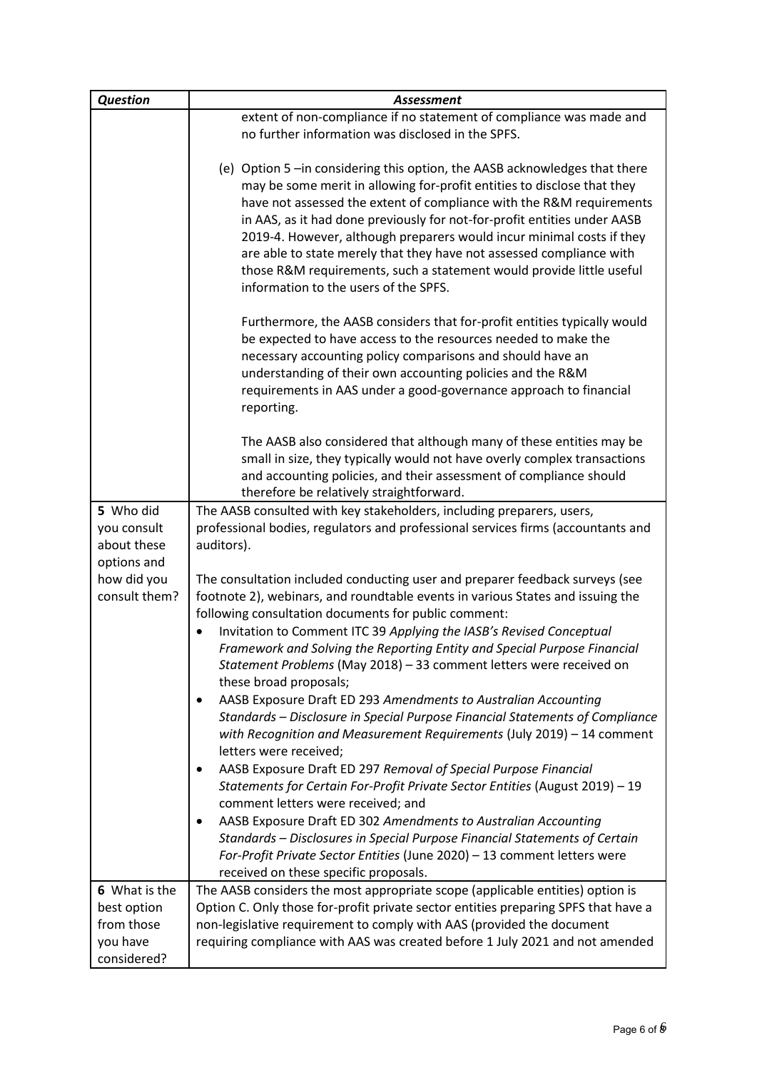| <b>Question</b>                                                                        | <b>Assessment</b>                                                                                                                                                                                                                                                                                                                                                                                                                                                                                                                                                                                                                                                                                                                                                                                                                                                                                                                                                                                                                                                                                                                                                                              |
|----------------------------------------------------------------------------------------|------------------------------------------------------------------------------------------------------------------------------------------------------------------------------------------------------------------------------------------------------------------------------------------------------------------------------------------------------------------------------------------------------------------------------------------------------------------------------------------------------------------------------------------------------------------------------------------------------------------------------------------------------------------------------------------------------------------------------------------------------------------------------------------------------------------------------------------------------------------------------------------------------------------------------------------------------------------------------------------------------------------------------------------------------------------------------------------------------------------------------------------------------------------------------------------------|
|                                                                                        | extent of non-compliance if no statement of compliance was made and                                                                                                                                                                                                                                                                                                                                                                                                                                                                                                                                                                                                                                                                                                                                                                                                                                                                                                                                                                                                                                                                                                                            |
|                                                                                        | no further information was disclosed in the SPFS.                                                                                                                                                                                                                                                                                                                                                                                                                                                                                                                                                                                                                                                                                                                                                                                                                                                                                                                                                                                                                                                                                                                                              |
|                                                                                        | (e) Option 5-in considering this option, the AASB acknowledges that there<br>may be some merit in allowing for-profit entities to disclose that they<br>have not assessed the extent of compliance with the R&M requirements<br>in AAS, as it had done previously for not-for-profit entities under AASB<br>2019-4. However, although preparers would incur minimal costs if they<br>are able to state merely that they have not assessed compliance with<br>those R&M requirements, such a statement would provide little useful<br>information to the users of the SPFS.                                                                                                                                                                                                                                                                                                                                                                                                                                                                                                                                                                                                                     |
|                                                                                        | Furthermore, the AASB considers that for-profit entities typically would<br>be expected to have access to the resources needed to make the<br>necessary accounting policy comparisons and should have an<br>understanding of their own accounting policies and the R&M<br>requirements in AAS under a good-governance approach to financial<br>reporting.                                                                                                                                                                                                                                                                                                                                                                                                                                                                                                                                                                                                                                                                                                                                                                                                                                      |
|                                                                                        | The AASB also considered that although many of these entities may be<br>small in size, they typically would not have overly complex transactions<br>and accounting policies, and their assessment of compliance should<br>therefore be relatively straightforward.                                                                                                                                                                                                                                                                                                                                                                                                                                                                                                                                                                                                                                                                                                                                                                                                                                                                                                                             |
| 5 Who did<br>you consult<br>about these<br>options and<br>how did you<br>consult them? | The AASB consulted with key stakeholders, including preparers, users,<br>professional bodies, regulators and professional services firms (accountants and<br>auditors).                                                                                                                                                                                                                                                                                                                                                                                                                                                                                                                                                                                                                                                                                                                                                                                                                                                                                                                                                                                                                        |
|                                                                                        | The consultation included conducting user and preparer feedback surveys (see<br>footnote 2), webinars, and roundtable events in various States and issuing the<br>following consultation documents for public comment:<br>Invitation to Comment ITC 39 Applying the IASB's Revised Conceptual<br>Framework and Solving the Reporting Entity and Special Purpose Financial<br>Statement Problems (May 2018) - 33 comment letters were received on<br>these broad proposals;<br>AASB Exposure Draft ED 293 Amendments to Australian Accounting<br>Standards - Disclosure in Special Purpose Financial Statements of Compliance<br>with Recognition and Measurement Requirements (July 2019) - 14 comment<br>letters were received;<br>AASB Exposure Draft ED 297 Removal of Special Purpose Financial<br>Statements for Certain For-Profit Private Sector Entities (August 2019) - 19<br>comment letters were received; and<br>AASB Exposure Draft ED 302 Amendments to Australian Accounting<br>Standards - Disclosures in Special Purpose Financial Statements of Certain<br>For-Profit Private Sector Entities (June 2020) - 13 comment letters were<br>received on these specific proposals. |
| 6 What is the                                                                          | The AASB considers the most appropriate scope (applicable entities) option is                                                                                                                                                                                                                                                                                                                                                                                                                                                                                                                                                                                                                                                                                                                                                                                                                                                                                                                                                                                                                                                                                                                  |
| best option                                                                            | Option C. Only those for-profit private sector entities preparing SPFS that have a                                                                                                                                                                                                                                                                                                                                                                                                                                                                                                                                                                                                                                                                                                                                                                                                                                                                                                                                                                                                                                                                                                             |
| from those<br>you have<br>considered?                                                  | non-legislative requirement to comply with AAS (provided the document<br>requiring compliance with AAS was created before 1 July 2021 and not amended                                                                                                                                                                                                                                                                                                                                                                                                                                                                                                                                                                                                                                                                                                                                                                                                                                                                                                                                                                                                                                          |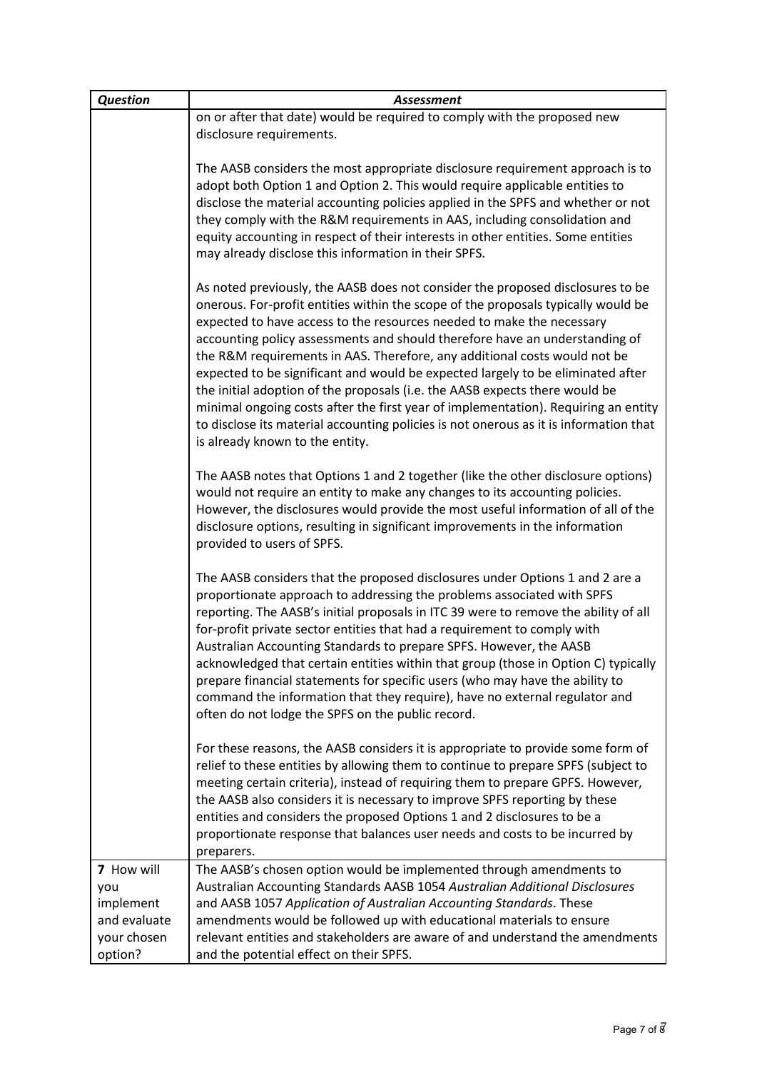| <b>Question</b>                                                          | <b>Assessment</b>                                                                                                                                                                                                                                                                                                                                                                                                                                                                                                                                                                                                                                                                                                                                                                            |
|--------------------------------------------------------------------------|----------------------------------------------------------------------------------------------------------------------------------------------------------------------------------------------------------------------------------------------------------------------------------------------------------------------------------------------------------------------------------------------------------------------------------------------------------------------------------------------------------------------------------------------------------------------------------------------------------------------------------------------------------------------------------------------------------------------------------------------------------------------------------------------|
|                                                                          | on or after that date) would be required to comply with the proposed new                                                                                                                                                                                                                                                                                                                                                                                                                                                                                                                                                                                                                                                                                                                     |
|                                                                          | disclosure requirements.                                                                                                                                                                                                                                                                                                                                                                                                                                                                                                                                                                                                                                                                                                                                                                     |
|                                                                          | The AASB considers the most appropriate disclosure requirement approach is to<br>adopt both Option 1 and Option 2. This would require applicable entities to<br>disclose the material accounting policies applied in the SPFS and whether or not<br>they comply with the R&M requirements in AAS, including consolidation and<br>equity accounting in respect of their interests in other entities. Some entities<br>may already disclose this information in their SPFS.                                                                                                                                                                                                                                                                                                                    |
|                                                                          | As noted previously, the AASB does not consider the proposed disclosures to be<br>onerous. For-profit entities within the scope of the proposals typically would be<br>expected to have access to the resources needed to make the necessary<br>accounting policy assessments and should therefore have an understanding of<br>the R&M requirements in AAS. Therefore, any additional costs would not be<br>expected to be significant and would be expected largely to be eliminated after<br>the initial adoption of the proposals (i.e. the AASB expects there would be<br>minimal ongoing costs after the first year of implementation). Requiring an entity<br>to disclose its material accounting policies is not onerous as it is information that<br>is already known to the entity. |
|                                                                          | The AASB notes that Options 1 and 2 together (like the other disclosure options)<br>would not require an entity to make any changes to its accounting policies.<br>However, the disclosures would provide the most useful information of all of the<br>disclosure options, resulting in significant improvements in the information<br>provided to users of SPFS.                                                                                                                                                                                                                                                                                                                                                                                                                            |
|                                                                          | The AASB considers that the proposed disclosures under Options 1 and 2 are a<br>proportionate approach to addressing the problems associated with SPFS<br>reporting. The AASB's initial proposals in ITC 39 were to remove the ability of all<br>for-profit private sector entities that had a requirement to comply with<br>Australian Accounting Standards to prepare SPFS. However, the AASB<br>acknowledged that certain entities within that group (those in Option C) typically<br>prepare financial statements for specific users (who may have the ability to<br>command the information that they require), have no external regulator and<br>often do not lodge the SPFS on the public record.                                                                                     |
|                                                                          | For these reasons, the AASB considers it is appropriate to provide some form of<br>relief to these entities by allowing them to continue to prepare SPFS (subject to<br>meeting certain criteria), instead of requiring them to prepare GPFS. However,<br>the AASB also considers it is necessary to improve SPFS reporting by these<br>entities and considers the proposed Options 1 and 2 disclosures to be a<br>proportionate response that balances user needs and costs to be incurred by<br>preparers.                                                                                                                                                                                                                                                                                 |
| 7 How will<br>you<br>implement<br>and evaluate<br>your chosen<br>option? | The AASB's chosen option would be implemented through amendments to<br>Australian Accounting Standards AASB 1054 Australian Additional Disclosures<br>and AASB 1057 Application of Australian Accounting Standards. These<br>amendments would be followed up with educational materials to ensure<br>relevant entities and stakeholders are aware of and understand the amendments<br>and the potential effect on their SPFS.                                                                                                                                                                                                                                                                                                                                                                |